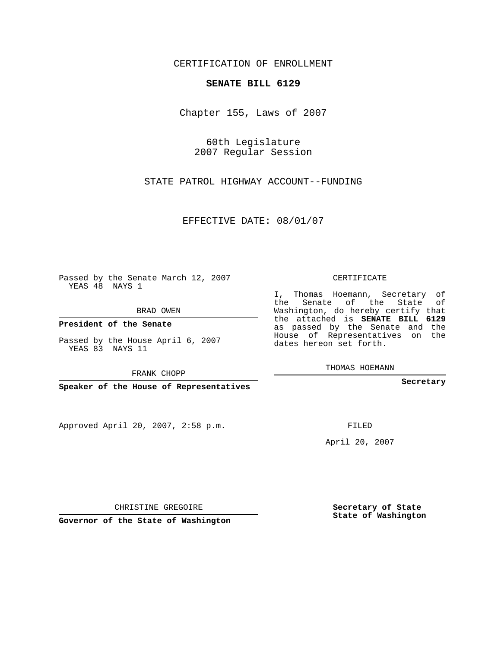CERTIFICATION OF ENROLLMENT

## **SENATE BILL 6129**

Chapter 155, Laws of 2007

60th Legislature 2007 Regular Session

STATE PATROL HIGHWAY ACCOUNT--FUNDING

EFFECTIVE DATE: 08/01/07

Passed by the Senate March 12, 2007 YEAS 48 NAYS 1

BRAD OWEN

**President of the Senate**

Passed by the House April 6, 2007 YEAS 83 NAYS 11

FRANK CHOPP

**Speaker of the House of Representatives**

Approved April 20, 2007, 2:58 p.m.

CERTIFICATE

I, Thomas Hoemann, Secretary of the Senate of the State of Washington, do hereby certify that the attached is **SENATE BILL 6129** as passed by the Senate and the House of Representatives on the dates hereon set forth.

THOMAS HOEMANN

**Secretary**

FILED

April 20, 2007

CHRISTINE GREGOIRE

**Governor of the State of Washington**

**Secretary of State State of Washington**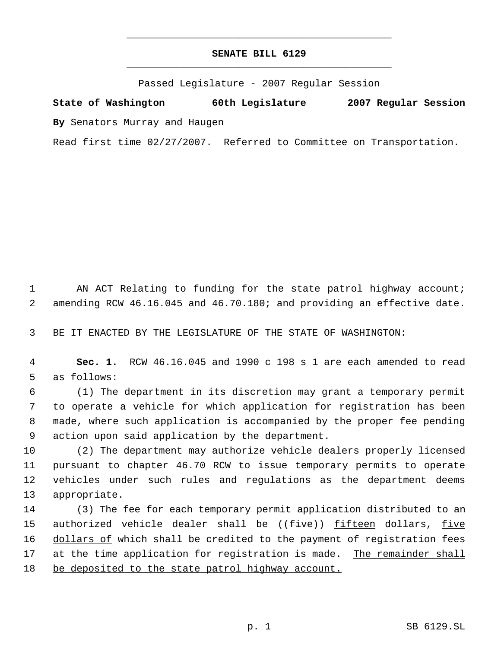## **SENATE BILL 6129** \_\_\_\_\_\_\_\_\_\_\_\_\_\_\_\_\_\_\_\_\_\_\_\_\_\_\_\_\_\_\_\_\_\_\_\_\_\_\_\_\_\_\_\_\_

\_\_\_\_\_\_\_\_\_\_\_\_\_\_\_\_\_\_\_\_\_\_\_\_\_\_\_\_\_\_\_\_\_\_\_\_\_\_\_\_\_\_\_\_\_

Passed Legislature - 2007 Regular Session

**State of Washington 60th Legislature 2007 Regular Session By** Senators Murray and Haugen

Read first time 02/27/2007. Referred to Committee on Transportation.

1 AN ACT Relating to funding for the state patrol highway account; 2 amending RCW 46.16.045 and 46.70.180; and providing an effective date.

3 BE IT ENACTED BY THE LEGISLATURE OF THE STATE OF WASHINGTON:

 4 **Sec. 1.** RCW 46.16.045 and 1990 c 198 s 1 are each amended to read 5 as follows:

 (1) The department in its discretion may grant a temporary permit to operate a vehicle for which application for registration has been made, where such application is accompanied by the proper fee pending action upon said application by the department.

 (2) The department may authorize vehicle dealers properly licensed pursuant to chapter 46.70 RCW to issue temporary permits to operate vehicles under such rules and regulations as the department deems appropriate.

14 (3) The fee for each temporary permit application distributed to an 15 authorized vehicle dealer shall be ((<del>five</del>)) fifteen dollars, five 16 dollars of which shall be credited to the payment of registration fees 17 at the time application for registration is made. The remainder shall 18 be deposited to the state patrol highway account.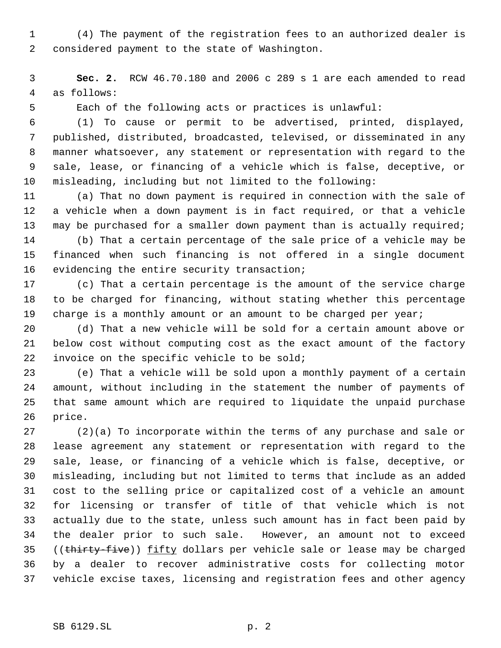(4) The payment of the registration fees to an authorized dealer is considered payment to the state of Washington.

 **Sec. 2.** RCW 46.70.180 and 2006 c 289 s 1 are each amended to read as follows:

Each of the following acts or practices is unlawful:

 (1) To cause or permit to be advertised, printed, displayed, published, distributed, broadcasted, televised, or disseminated in any manner whatsoever, any statement or representation with regard to the sale, lease, or financing of a vehicle which is false, deceptive, or misleading, including but not limited to the following:

 (a) That no down payment is required in connection with the sale of a vehicle when a down payment is in fact required, or that a vehicle may be purchased for a smaller down payment than is actually required;

 (b) That a certain percentage of the sale price of a vehicle may be financed when such financing is not offered in a single document evidencing the entire security transaction;

 (c) That a certain percentage is the amount of the service charge to be charged for financing, without stating whether this percentage 19 charge is a monthly amount or an amount to be charged per year;

 (d) That a new vehicle will be sold for a certain amount above or below cost without computing cost as the exact amount of the factory invoice on the specific vehicle to be sold;

 (e) That a vehicle will be sold upon a monthly payment of a certain amount, without including in the statement the number of payments of that same amount which are required to liquidate the unpaid purchase price.

 (2)(a) To incorporate within the terms of any purchase and sale or lease agreement any statement or representation with regard to the sale, lease, or financing of a vehicle which is false, deceptive, or misleading, including but not limited to terms that include as an added cost to the selling price or capitalized cost of a vehicle an amount for licensing or transfer of title of that vehicle which is not actually due to the state, unless such amount has in fact been paid by the dealer prior to such sale. However, an amount not to exceed 35 ((thirty-five)) fifty dollars per vehicle sale or lease may be charged by a dealer to recover administrative costs for collecting motor vehicle excise taxes, licensing and registration fees and other agency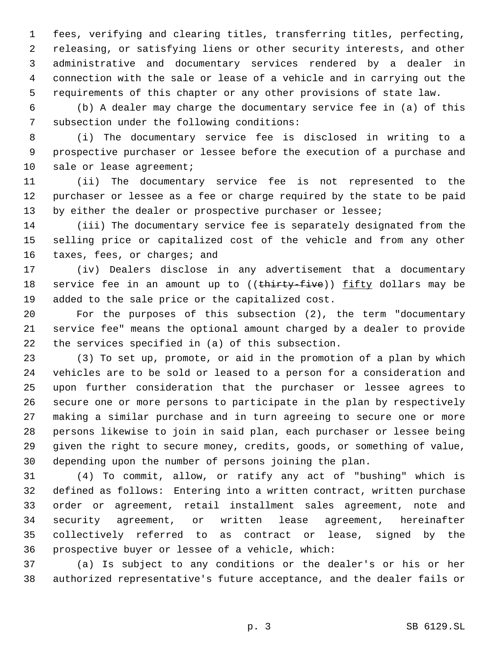fees, verifying and clearing titles, transferring titles, perfecting, releasing, or satisfying liens or other security interests, and other administrative and documentary services rendered by a dealer in connection with the sale or lease of a vehicle and in carrying out the requirements of this chapter or any other provisions of state law.

 (b) A dealer may charge the documentary service fee in (a) of this subsection under the following conditions:

 (i) The documentary service fee is disclosed in writing to a prospective purchaser or lessee before the execution of a purchase and 10 sale or lease agreement;

 (ii) The documentary service fee is not represented to the purchaser or lessee as a fee or charge required by the state to be paid 13 by either the dealer or prospective purchaser or lessee;

 (iii) The documentary service fee is separately designated from the selling price or capitalized cost of the vehicle and from any other 16 taxes, fees, or charges; and

 (iv) Dealers disclose in any advertisement that a documentary 18 service fee in an amount up to ((thirty-five)) fifty dollars may be added to the sale price or the capitalized cost.

 For the purposes of this subsection (2), the term "documentary service fee" means the optional amount charged by a dealer to provide the services specified in (a) of this subsection.

 (3) To set up, promote, or aid in the promotion of a plan by which vehicles are to be sold or leased to a person for a consideration and upon further consideration that the purchaser or lessee agrees to secure one or more persons to participate in the plan by respectively making a similar purchase and in turn agreeing to secure one or more persons likewise to join in said plan, each purchaser or lessee being given the right to secure money, credits, goods, or something of value, depending upon the number of persons joining the plan.

 (4) To commit, allow, or ratify any act of "bushing" which is defined as follows: Entering into a written contract, written purchase order or agreement, retail installment sales agreement, note and security agreement, or written lease agreement, hereinafter collectively referred to as contract or lease, signed by the prospective buyer or lessee of a vehicle, which:

 (a) Is subject to any conditions or the dealer's or his or her authorized representative's future acceptance, and the dealer fails or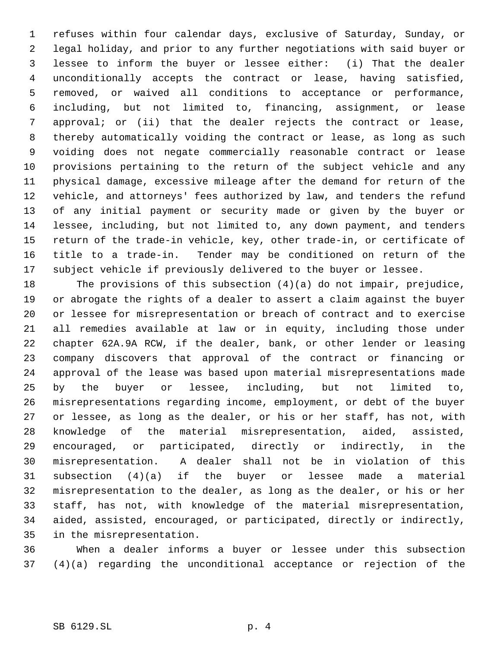refuses within four calendar days, exclusive of Saturday, Sunday, or legal holiday, and prior to any further negotiations with said buyer or lessee to inform the buyer or lessee either: (i) That the dealer unconditionally accepts the contract or lease, having satisfied, removed, or waived all conditions to acceptance or performance, including, but not limited to, financing, assignment, or lease approval; or (ii) that the dealer rejects the contract or lease, thereby automatically voiding the contract or lease, as long as such voiding does not negate commercially reasonable contract or lease provisions pertaining to the return of the subject vehicle and any physical damage, excessive mileage after the demand for return of the vehicle, and attorneys' fees authorized by law, and tenders the refund of any initial payment or security made or given by the buyer or lessee, including, but not limited to, any down payment, and tenders return of the trade-in vehicle, key, other trade-in, or certificate of title to a trade-in. Tender may be conditioned on return of the subject vehicle if previously delivered to the buyer or lessee.

 The provisions of this subsection (4)(a) do not impair, prejudice, or abrogate the rights of a dealer to assert a claim against the buyer or lessee for misrepresentation or breach of contract and to exercise all remedies available at law or in equity, including those under chapter 62A.9A RCW, if the dealer, bank, or other lender or leasing company discovers that approval of the contract or financing or approval of the lease was based upon material misrepresentations made by the buyer or lessee, including, but not limited to, misrepresentations regarding income, employment, or debt of the buyer or lessee, as long as the dealer, or his or her staff, has not, with knowledge of the material misrepresentation, aided, assisted, encouraged, or participated, directly or indirectly, in the misrepresentation. A dealer shall not be in violation of this subsection (4)(a) if the buyer or lessee made a material misrepresentation to the dealer, as long as the dealer, or his or her staff, has not, with knowledge of the material misrepresentation, aided, assisted, encouraged, or participated, directly or indirectly, in the misrepresentation.

 When a dealer informs a buyer or lessee under this subsection (4)(a) regarding the unconditional acceptance or rejection of the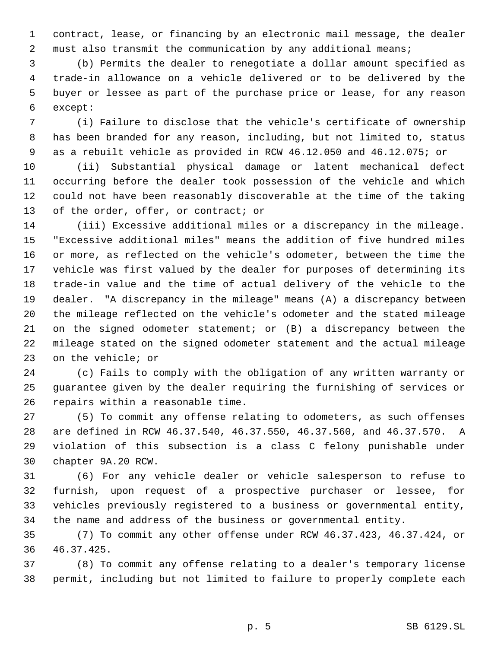contract, lease, or financing by an electronic mail message, the dealer must also transmit the communication by any additional means;

 (b) Permits the dealer to renegotiate a dollar amount specified as trade-in allowance on a vehicle delivered or to be delivered by the buyer or lessee as part of the purchase price or lease, for any reason except:

 (i) Failure to disclose that the vehicle's certificate of ownership has been branded for any reason, including, but not limited to, status as a rebuilt vehicle as provided in RCW 46.12.050 and 46.12.075; or

 (ii) Substantial physical damage or latent mechanical defect occurring before the dealer took possession of the vehicle and which could not have been reasonably discoverable at the time of the taking of the order, offer, or contract; or

 (iii) Excessive additional miles or a discrepancy in the mileage. "Excessive additional miles" means the addition of five hundred miles or more, as reflected on the vehicle's odometer, between the time the vehicle was first valued by the dealer for purposes of determining its trade-in value and the time of actual delivery of the vehicle to the dealer. "A discrepancy in the mileage" means (A) a discrepancy between the mileage reflected on the vehicle's odometer and the stated mileage on the signed odometer statement; or (B) a discrepancy between the mileage stated on the signed odometer statement and the actual mileage on the vehicle; or

 (c) Fails to comply with the obligation of any written warranty or guarantee given by the dealer requiring the furnishing of services or repairs within a reasonable time.

 (5) To commit any offense relating to odometers, as such offenses are defined in RCW 46.37.540, 46.37.550, 46.37.560, and 46.37.570. A violation of this subsection is a class C felony punishable under chapter 9A.20 RCW.

 (6) For any vehicle dealer or vehicle salesperson to refuse to furnish, upon request of a prospective purchaser or lessee, for vehicles previously registered to a business or governmental entity, the name and address of the business or governmental entity.

 (7) To commit any other offense under RCW 46.37.423, 46.37.424, or 46.37.425.

 (8) To commit any offense relating to a dealer's temporary license permit, including but not limited to failure to properly complete each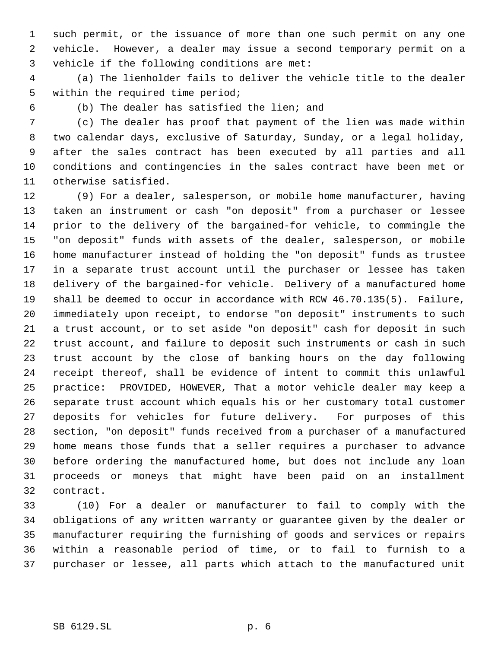such permit, or the issuance of more than one such permit on any one vehicle. However, a dealer may issue a second temporary permit on a vehicle if the following conditions are met:

 (a) The lienholder fails to deliver the vehicle title to the dealer within the required time period;

(b) The dealer has satisfied the lien; and

 (c) The dealer has proof that payment of the lien was made within two calendar days, exclusive of Saturday, Sunday, or a legal holiday, after the sales contract has been executed by all parties and all conditions and contingencies in the sales contract have been met or otherwise satisfied.

 (9) For a dealer, salesperson, or mobile home manufacturer, having taken an instrument or cash "on deposit" from a purchaser or lessee prior to the delivery of the bargained-for vehicle, to commingle the "on deposit" funds with assets of the dealer, salesperson, or mobile home manufacturer instead of holding the "on deposit" funds as trustee in a separate trust account until the purchaser or lessee has taken delivery of the bargained-for vehicle. Delivery of a manufactured home shall be deemed to occur in accordance with RCW 46.70.135(5). Failure, immediately upon receipt, to endorse "on deposit" instruments to such a trust account, or to set aside "on deposit" cash for deposit in such trust account, and failure to deposit such instruments or cash in such trust account by the close of banking hours on the day following receipt thereof, shall be evidence of intent to commit this unlawful practice: PROVIDED, HOWEVER, That a motor vehicle dealer may keep a separate trust account which equals his or her customary total customer deposits for vehicles for future delivery. For purposes of this section, "on deposit" funds received from a purchaser of a manufactured home means those funds that a seller requires a purchaser to advance before ordering the manufactured home, but does not include any loan proceeds or moneys that might have been paid on an installment contract.

 (10) For a dealer or manufacturer to fail to comply with the obligations of any written warranty or guarantee given by the dealer or manufacturer requiring the furnishing of goods and services or repairs within a reasonable period of time, or to fail to furnish to a purchaser or lessee, all parts which attach to the manufactured unit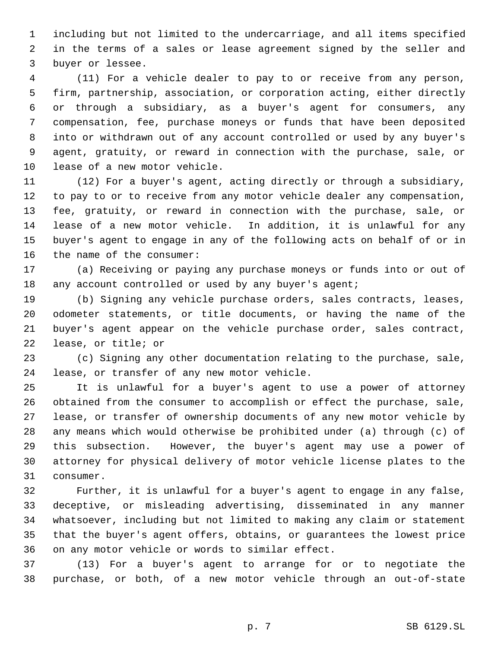including but not limited to the undercarriage, and all items specified in the terms of a sales or lease agreement signed by the seller and buyer or lessee.

 (11) For a vehicle dealer to pay to or receive from any person, firm, partnership, association, or corporation acting, either directly or through a subsidiary, as a buyer's agent for consumers, any compensation, fee, purchase moneys or funds that have been deposited into or withdrawn out of any account controlled or used by any buyer's agent, gratuity, or reward in connection with the purchase, sale, or lease of a new motor vehicle.

 (12) For a buyer's agent, acting directly or through a subsidiary, to pay to or to receive from any motor vehicle dealer any compensation, fee, gratuity, or reward in connection with the purchase, sale, or lease of a new motor vehicle. In addition, it is unlawful for any buyer's agent to engage in any of the following acts on behalf of or in the name of the consumer:

 (a) Receiving or paying any purchase moneys or funds into or out of 18 any account controlled or used by any buyer's agent;

 (b) Signing any vehicle purchase orders, sales contracts, leases, odometer statements, or title documents, or having the name of the buyer's agent appear on the vehicle purchase order, sales contract, lease, or title; or

 (c) Signing any other documentation relating to the purchase, sale, lease, or transfer of any new motor vehicle.

 It is unlawful for a buyer's agent to use a power of attorney obtained from the consumer to accomplish or effect the purchase, sale, lease, or transfer of ownership documents of any new motor vehicle by any means which would otherwise be prohibited under (a) through (c) of this subsection. However, the buyer's agent may use a power of attorney for physical delivery of motor vehicle license plates to the consumer.

 Further, it is unlawful for a buyer's agent to engage in any false, deceptive, or misleading advertising, disseminated in any manner whatsoever, including but not limited to making any claim or statement that the buyer's agent offers, obtains, or guarantees the lowest price on any motor vehicle or words to similar effect.

 (13) For a buyer's agent to arrange for or to negotiate the purchase, or both, of a new motor vehicle through an out-of-state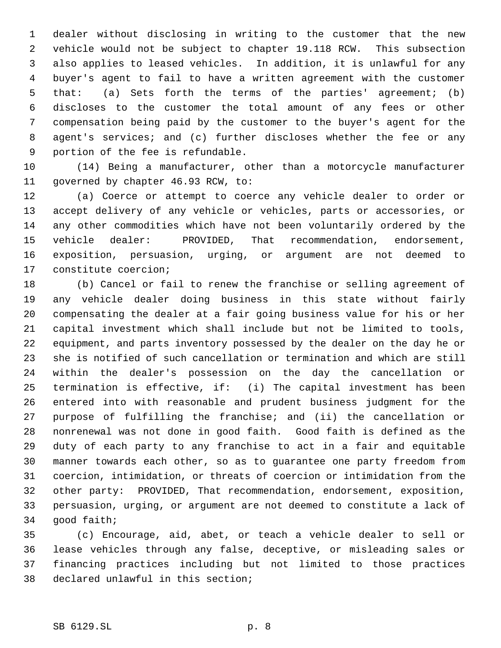dealer without disclosing in writing to the customer that the new vehicle would not be subject to chapter 19.118 RCW. This subsection also applies to leased vehicles. In addition, it is unlawful for any buyer's agent to fail to have a written agreement with the customer that: (a) Sets forth the terms of the parties' agreement; (b) discloses to the customer the total amount of any fees or other compensation being paid by the customer to the buyer's agent for the 8 agent's services; and (c) further discloses whether the fee or any portion of the fee is refundable.

 (14) Being a manufacturer, other than a motorcycle manufacturer governed by chapter 46.93 RCW, to:

 (a) Coerce or attempt to coerce any vehicle dealer to order or accept delivery of any vehicle or vehicles, parts or accessories, or any other commodities which have not been voluntarily ordered by the vehicle dealer: PROVIDED, That recommendation, endorsement, exposition, persuasion, urging, or argument are not deemed to constitute coercion;

 (b) Cancel or fail to renew the franchise or selling agreement of any vehicle dealer doing business in this state without fairly compensating the dealer at a fair going business value for his or her capital investment which shall include but not be limited to tools, equipment, and parts inventory possessed by the dealer on the day he or she is notified of such cancellation or termination and which are still within the dealer's possession on the day the cancellation or termination is effective, if: (i) The capital investment has been entered into with reasonable and prudent business judgment for the purpose of fulfilling the franchise; and (ii) the cancellation or nonrenewal was not done in good faith. Good faith is defined as the duty of each party to any franchise to act in a fair and equitable manner towards each other, so as to guarantee one party freedom from coercion, intimidation, or threats of coercion or intimidation from the other party: PROVIDED, That recommendation, endorsement, exposition, persuasion, urging, or argument are not deemed to constitute a lack of good faith;

 (c) Encourage, aid, abet, or teach a vehicle dealer to sell or lease vehicles through any false, deceptive, or misleading sales or financing practices including but not limited to those practices declared unlawful in this section;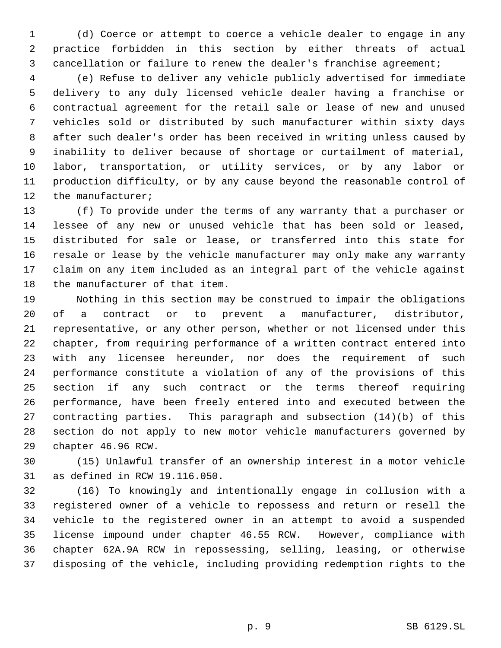(d) Coerce or attempt to coerce a vehicle dealer to engage in any practice forbidden in this section by either threats of actual cancellation or failure to renew the dealer's franchise agreement;

 (e) Refuse to deliver any vehicle publicly advertised for immediate delivery to any duly licensed vehicle dealer having a franchise or contractual agreement for the retail sale or lease of new and unused vehicles sold or distributed by such manufacturer within sixty days after such dealer's order has been received in writing unless caused by inability to deliver because of shortage or curtailment of material, labor, transportation, or utility services, or by any labor or production difficulty, or by any cause beyond the reasonable control of 12 the manufacturer;

 (f) To provide under the terms of any warranty that a purchaser or lessee of any new or unused vehicle that has been sold or leased, distributed for sale or lease, or transferred into this state for resale or lease by the vehicle manufacturer may only make any warranty claim on any item included as an integral part of the vehicle against the manufacturer of that item.

 Nothing in this section may be construed to impair the obligations of a contract or to prevent a manufacturer, distributor, representative, or any other person, whether or not licensed under this chapter, from requiring performance of a written contract entered into with any licensee hereunder, nor does the requirement of such performance constitute a violation of any of the provisions of this section if any such contract or the terms thereof requiring performance, have been freely entered into and executed between the contracting parties. This paragraph and subsection (14)(b) of this section do not apply to new motor vehicle manufacturers governed by chapter 46.96 RCW.

 (15) Unlawful transfer of an ownership interest in a motor vehicle as defined in RCW 19.116.050.

 (16) To knowingly and intentionally engage in collusion with a registered owner of a vehicle to repossess and return or resell the vehicle to the registered owner in an attempt to avoid a suspended license impound under chapter 46.55 RCW. However, compliance with chapter 62A.9A RCW in repossessing, selling, leasing, or otherwise disposing of the vehicle, including providing redemption rights to the